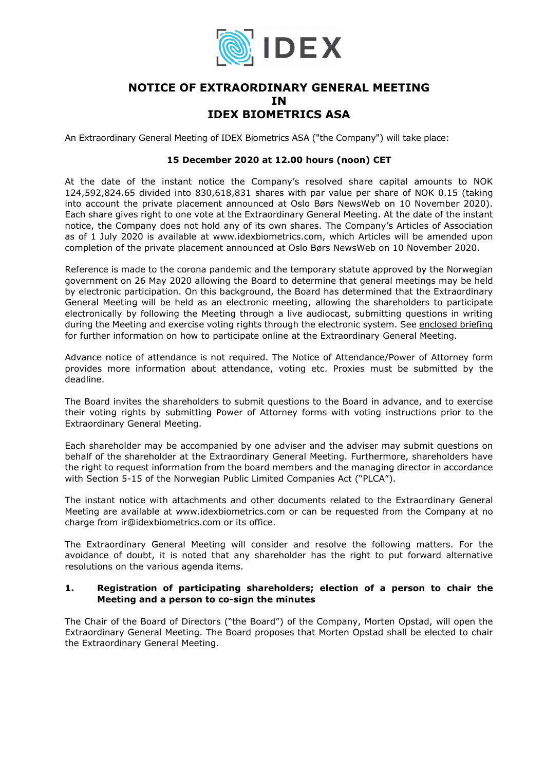

# **NOTICE OF EXTRAORDINARY GENERAL MEETING IN IDEX BIOMETRICS ASA**

An Extraordinary General Meeting of IDEX Biometrics ASA ("the Company") will take place:

#### **15 December 2020 at 12.00 hours (noon) CET**

At the date of the instant notice the Company's resolved share capital amounts to NOK 124,592,824.65 divided into 830,618,831 shares with par value per share of NOK 0.15 (taking into account the private placement announced at Oslo Børs NewsWeb on 10 November 2020). Each share gives right to one vote at the Extraordinary General Meeting. At the date of the instant notice, the Company does not hold any of its own shares. The Company's Articles of Association as of 1 July 2020 is available at www.idexbiometrics.com, which Articles will be amended upon completion of the private placement announced at Oslo Børs NewsWeb on 10 November 2020.

Reference is made to the corona pandemic and the temporary statute approved by the Norwegian government on 26 May 2020 allowing the Board to determine that general meetings may be held by electronic participation. On this background, the Board has determined that the Extraordinary General Meeting will be held as an electronic meeting, allowing the shareholders to participate electronically by following the Meeting through a live audiocast, submitting questions in writing during the Meeting and exercise voting rights through the electronic system. See enclosed briefing for further information on how to participate online at the Extraordinary General Meeting.

Advance notice of attendance is not required. The Notice of Attendance/Power of Attorney form provides more information about attendance, voting etc. Proxies must be submitted by the deadline.

The Board invites the shareholders to submit questions to the Board in advance, and to exercise their voting rights by submitting Power of Attorney forms with voting instructions prior to the Extraordinary General Meeting.

Each shareholder may be accompanied by one adviser and the adviser may submit questions on behalf of the shareholder at the Extraordinary General Meeting. Furthermore, shareholders have the right to request information from the board members and the managing director in accordance with Section 5-15 of the Norwegian Public Limited Companies Act ("PLCA").

The instant notice with attachments and other documents related to the Extraordinary General Meeting are available at www.idexbiometrics.com or can be requested from the Company at no charge from ir@idexbiometrics.com or its office.

The Extraordinary General Meeting will consider and resolve the following matters. For the avoidance of doubt, it is noted that any shareholder has the right to put forward alternative resolutions on the various agenda items.

#### **1. Registration of participating shareholders; election of a person to chair the Meeting and a person to co-sign the minutes**

The Chair of the Board of Directors ("the Board") of the Company, Morten Opstad, will open the Extraordinary General Meeting. The Board proposes that Morten Opstad shall be elected to chair the Extraordinary General Meeting.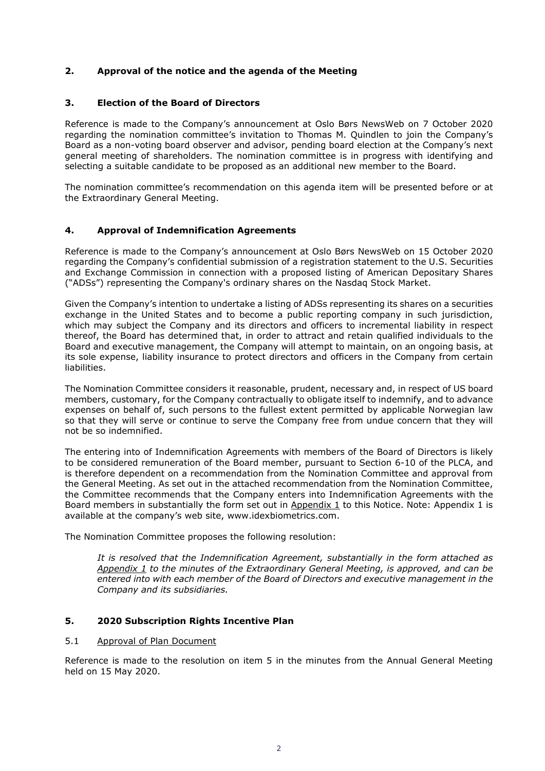## **2. Approval of the notice and the agenda of the Meeting**

## **3. Election of the Board of Directors**

Reference is made to the Company's announcement at Oslo Børs NewsWeb on 7 October 2020 regarding the nomination committee's invitation to Thomas M. Quindlen to join the Company's Board as a non-voting board observer and advisor, pending board election at the Company's next general meeting of shareholders. The nomination committee is in progress with identifying and selecting a suitable candidate to be proposed as an additional new member to the Board.

The nomination committee's recommendation on this agenda item will be presented before or at the Extraordinary General Meeting.

## **4. Approval of Indemnification Agreements**

Reference is made to the Company's announcement at Oslo Børs NewsWeb on 15 October 2020 regarding the Company's confidential submission of a registration statement to the U.S. Securities and Exchange Commission in connection with a proposed listing of American Depositary Shares ("ADSs") representing the Company's ordinary shares on the Nasdaq Stock Market.

Given the Company's intention to undertake a listing of ADSs representing its shares on a securities exchange in the United States and to become a public reporting company in such jurisdiction, which may subject the Company and its directors and officers to incremental liability in respect thereof, the Board has determined that, in order to attract and retain qualified individuals to the Board and executive management, the Company will attempt to maintain, on an ongoing basis, at its sole expense, liability insurance to protect directors and officers in the Company from certain liabilities.

The Nomination Committee considers it reasonable, prudent, necessary and, in respect of US board members, customary, for the Company contractually to obligate itself to indemnify, and to advance expenses on behalf of, such persons to the fullest extent permitted by applicable Norwegian law so that they will serve or continue to serve the Company free from undue concern that they will not be so indemnified.

The entering into of Indemnification Agreements with members of the Board of Directors is likely to be considered remuneration of the Board member, pursuant to Section 6-10 of the PLCA, and is therefore dependent on a recommendation from the Nomination Committee and approval from the General Meeting. As set out in the attached recommendation from the Nomination Committee, the Committee recommends that the Company enters into Indemnification Agreements with the Board members in substantially the form set out in Appendix 1 to this Notice. Note: Appendix 1 is available at the company's web site, www.idexbiometrics.com.

The Nomination Committee proposes the following resolution:

*It is resolved that the Indemnification Agreement, substantially in the form attached as Appendix 1 to the minutes of the Extraordinary General Meeting, is approved, and can be entered into with each member of the Board of Directors and executive management in the Company and its subsidiaries.* 

## **5. 2020 Subscription Rights Incentive Plan**

## 5.1 Approval of Plan Document

Reference is made to the resolution on item 5 in the minutes from the Annual General Meeting held on 15 May 2020.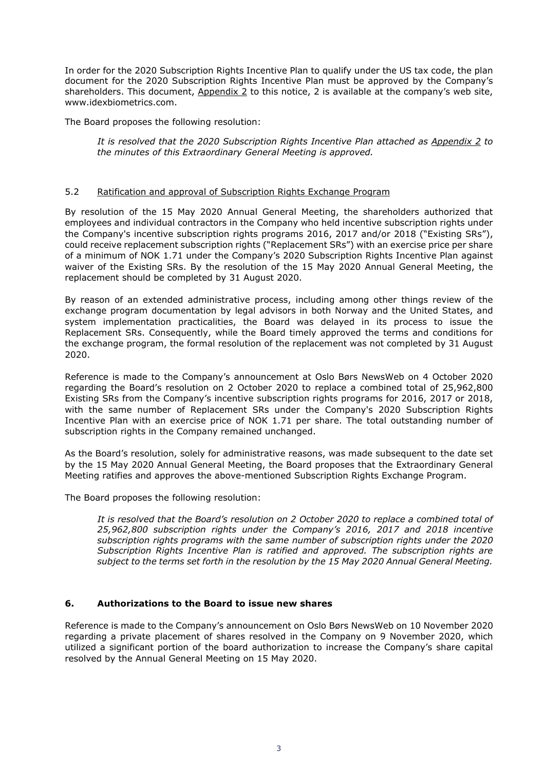In order for the 2020 Subscription Rights Incentive Plan to qualify under the US tax code, the plan document for the 2020 Subscription Rights Incentive Plan must be approved by the Company's shareholders. This document, Appendix 2 to this notice, 2 is available at the company's web site, www.idexbiometrics.com.

The Board proposes the following resolution:

*It is resolved that the 2020 Subscription Rights Incentive Plan attached as Appendix 2 to the minutes of this Extraordinary General Meeting is approved.* 

#### 5.2 Ratification and approval of Subscription Rights Exchange Program

By resolution of the 15 May 2020 Annual General Meeting, the shareholders authorized that employees and individual contractors in the Company who held incentive subscription rights under the Company's incentive subscription rights programs 2016, 2017 and/or 2018 ("Existing SRs"), could receive replacement subscription rights ("Replacement SRs") with an exercise price per share of a minimum of NOK 1.71 under the Company's 2020 Subscription Rights Incentive Plan against waiver of the Existing SRs. By the resolution of the 15 May 2020 Annual General Meeting, the replacement should be completed by 31 August 2020.

By reason of an extended administrative process, including among other things review of the exchange program documentation by legal advisors in both Norway and the United States, and system implementation practicalities, the Board was delayed in its process to issue the Replacement SRs. Consequently, while the Board timely approved the terms and conditions for the exchange program, the formal resolution of the replacement was not completed by 31 August 2020.

Reference is made to the Company's announcement at Oslo Børs NewsWeb on 4 October 2020 regarding the Board's resolution on 2 October 2020 to replace a combined total of 25,962,800 Existing SRs from the Company's incentive subscription rights programs for 2016, 2017 or 2018, with the same number of Replacement SRs under the Company's 2020 Subscription Rights Incentive Plan with an exercise price of NOK 1.71 per share. The total outstanding number of subscription rights in the Company remained unchanged.

As the Board's resolution, solely for administrative reasons, was made subsequent to the date set by the 15 May 2020 Annual General Meeting, the Board proposes that the Extraordinary General Meeting ratifies and approves the above-mentioned Subscription Rights Exchange Program.

The Board proposes the following resolution:

*It is resolved that the Board's resolution on 2 October 2020 to replace a combined total of 25,962,800 subscription rights under the Company's 2016, 2017 and 2018 incentive subscription rights programs with the same number of subscription rights under the 2020 Subscription Rights Incentive Plan is ratified and approved. The subscription rights are subject to the terms set forth in the resolution by the 15 May 2020 Annual General Meeting.* 

## **6. Authorizations to the Board to issue new shares**

Reference is made to the Company's announcement on Oslo Børs NewsWeb on 10 November 2020 regarding a private placement of shares resolved in the Company on 9 November 2020, which utilized a significant portion of the board authorization to increase the Company's share capital resolved by the Annual General Meeting on 15 May 2020.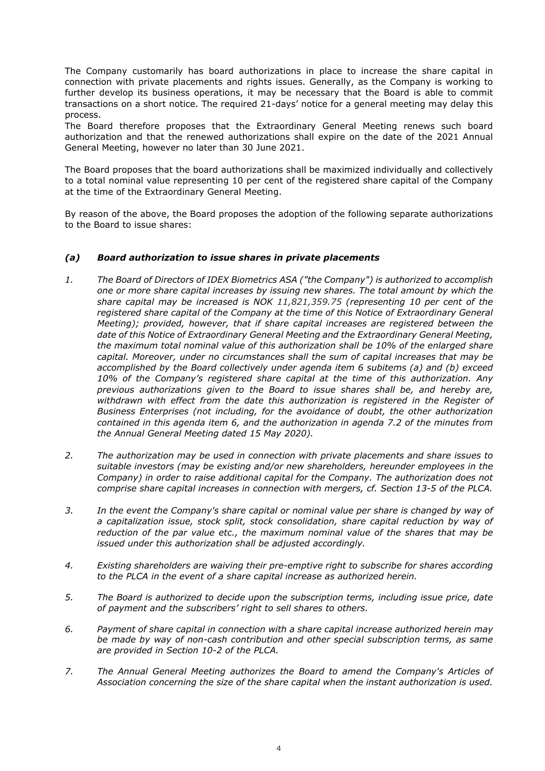The Company customarily has board authorizations in place to increase the share capital in connection with private placements and rights issues. Generally, as the Company is working to further develop its business operations, it may be necessary that the Board is able to commit transactions on a short notice. The required 21-days' notice for a general meeting may delay this process.

The Board therefore proposes that the Extraordinary General Meeting renews such board authorization and that the renewed authorizations shall expire on the date of the 2021 Annual General Meeting, however no later than 30 June 2021.

The Board proposes that the board authorizations shall be maximized individually and collectively to a total nominal value representing 10 per cent of the registered share capital of the Company at the time of the Extraordinary General Meeting.

By reason of the above, the Board proposes the adoption of the following separate authorizations to the Board to issue shares:

## *(a) Board authorization to issue shares in private placements*

- *1. The Board of Directors of IDEX Biometrics ASA ("the Company") is authorized to accomplish one or more share capital increases by issuing new shares. The total amount by which the share capital may be increased is NOK 11,821,359.75 (representing 10 per cent of the registered share capital of the Company at the time of this Notice of Extraordinary General Meeting); provided, however, that if share capital increases are registered between the date of this Notice of Extraordinary General Meeting and the Extraordinary General Meeting, the maximum total nominal value of this authorization shall be 10% of the enlarged share capital. Moreover, under no circumstances shall the sum of capital increases that may be accomplished by the Board collectively under agenda item 6 subitems (a) and (b) exceed 10% of the Company's registered share capital at the time of this authorization. Any previous authorizations given to the Board to issue shares shall be, and hereby are, withdrawn with effect from the date this authorization is registered in the Register of Business Enterprises (not including, for the avoidance of doubt, the other authorization contained in this agenda item 6, and the authorization in agenda 7.2 of the minutes from the Annual General Meeting dated 15 May 2020).*
- *2. The authorization may be used in connection with private placements and share issues to suitable investors (may be existing and/or new shareholders, hereunder employees in the Company) in order to raise additional capital for the Company. The authorization does not comprise share capital increases in connection with mergers, cf. Section 13-5 of the PLCA.*
- *3. In the event the Company's share capital or nominal value per share is changed by way of a capitalization issue, stock split, stock consolidation, share capital reduction by way of reduction of the par value etc., the maximum nominal value of the shares that may be issued under this authorization shall be adjusted accordingly.*
- *4. Existing shareholders are waiving their pre-emptive right to subscribe for shares according to the PLCA in the event of a share capital increase as authorized herein.*
- *5. The Board is authorized to decide upon the subscription terms, including issue price, date of payment and the subscribers' right to sell shares to others.*
- *6. Payment of share capital in connection with a share capital increase authorized herein may be made by way of non-cash contribution and other special subscription terms, as same are provided in Section 10-2 of the PLCA.*
- *7. The Annual General Meeting authorizes the Board to amend the Company's Articles of Association concerning the size of the share capital when the instant authorization is used.*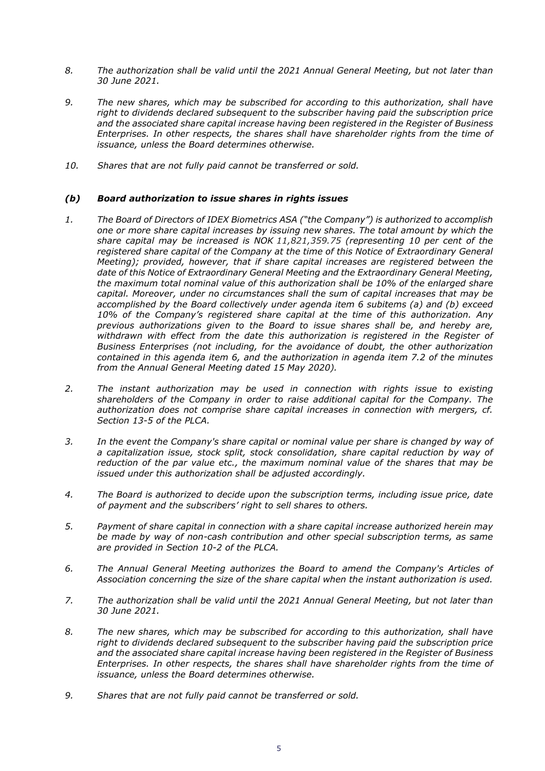- *8. The authorization shall be valid until the 2021 Annual General Meeting, but not later than 30 June 2021.*
- *9. The new shares, which may be subscribed for according to this authorization, shall have right to dividends declared subsequent to the subscriber having paid the subscription price and the associated share capital increase having been registered in the Register of Business Enterprises. In other respects, the shares shall have shareholder rights from the time of issuance, unless the Board determines otherwise.*
- *10. Shares that are not fully paid cannot be transferred or sold.*

## *(b) Board authorization to issue shares in rights issues*

- *1. The Board of Directors of IDEX Biometrics ASA ("the Company") is authorized to accomplish one or more share capital increases by issuing new shares. The total amount by which the share capital may be increased is NOK 11,821,359.75 (representing 10 per cent of the registered share capital of the Company at the time of this Notice of Extraordinary General Meeting); provided, however, that if share capital increases are registered between the date of this Notice of Extraordinary General Meeting and the Extraordinary General Meeting, the maximum total nominal value of this authorization shall be 10% of the enlarged share capital. Moreover, under no circumstances shall the sum of capital increases that may be accomplished by the Board collectively under agenda item 6 subitems (a) and (b) exceed 10% of the Company's registered share capital at the time of this authorization. Any previous authorizations given to the Board to issue shares shall be, and hereby are,*  withdrawn with effect from the date this authorization is registered in the Register of *Business Enterprises (not including, for the avoidance of doubt, the other authorization contained in this agenda item 6, and the authorization in agenda item 7.2 of the minutes from the Annual General Meeting dated 15 May 2020).*
- *2. The instant authorization may be used in connection with rights issue to existing shareholders of the Company in order to raise additional capital for the Company. The authorization does not comprise share capital increases in connection with mergers, cf. Section 13-5 of the PLCA.*
- *3. In the event the Company's share capital or nominal value per share is changed by way of a capitalization issue, stock split, stock consolidation, share capital reduction by way of reduction of the par value etc., the maximum nominal value of the shares that may be issued under this authorization shall be adjusted accordingly.*
- *4. The Board is authorized to decide upon the subscription terms, including issue price, date of payment and the subscribers' right to sell shares to others.*
- *5. Payment of share capital in connection with a share capital increase authorized herein may be made by way of non-cash contribution and other special subscription terms, as same are provided in Section 10-2 of the PLCA.*
- *6. The Annual General Meeting authorizes the Board to amend the Company's Articles of Association concerning the size of the share capital when the instant authorization is used.*
- *7. The authorization shall be valid until the 2021 Annual General Meeting, but not later than 30 June 2021.*
- *8. The new shares, which may be subscribed for according to this authorization, shall have right to dividends declared subsequent to the subscriber having paid the subscription price and the associated share capital increase having been registered in the Register of Business Enterprises. In other respects, the shares shall have shareholder rights from the time of issuance, unless the Board determines otherwise.*
- *9. Shares that are not fully paid cannot be transferred or sold.*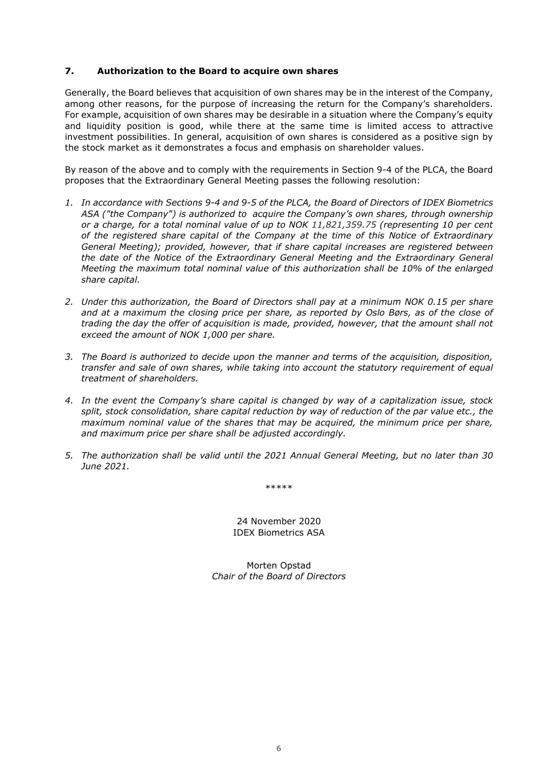## **7. Authorization to the Board to acquire own shares**

Generally, the Board believes that acquisition of own shares may be in the interest of the Company, among other reasons, for the purpose of increasing the return for the Company's shareholders. For example, acquisition of own shares may be desirable in a situation where the Company's equity and liquidity position is good, while there at the same time is limited access to attractive investment possibilities. In general, acquisition of own shares is considered as a positive sign by the stock market as it demonstrates a focus and emphasis on shareholder values.

By reason of the above and to comply with the requirements in Section 9-4 of the PLCA, the Board proposes that the Extraordinary General Meeting passes the following resolution:

- *1. In accordance with Sections 9-4 and 9-5 of the PLCA, the Board of Directors of IDEX Biometrics ASA ("the Company") is authorized to acquire the Company's own shares, through ownership or a charge, for a total nominal value of up to NOK 11,821,359.75 (representing 10 per cent of the registered share capital of the Company at the time of this Notice of Extraordinary General Meeting); provided, however, that if share capital increases are registered between the date of the Notice of the Extraordinary General Meeting and the Extraordinary General Meeting the maximum total nominal value of this authorization shall be 10% of the enlarged share capital.*
- *2. Under this authorization, the Board of Directors shall pay at a minimum NOK 0.15 per share*  and at a maximum the closing price per share, as reported by Oslo Børs, as of the close of *trading the day the offer of acquisition is made, provided, however, that the amount shall not exceed the amount of NOK 1,000 per share.*
- *3. The Board is authorized to decide upon the manner and terms of the acquisition, disposition, transfer and sale of own shares, while taking into account the statutory requirement of equal treatment of shareholders.*
- *4. In the event the Company's share capital is changed by way of a capitalization issue, stock split, stock consolidation, share capital reduction by way of reduction of the par value etc., the maximum nominal value of the shares that may be acquired, the minimum price per share, and maximum price per share shall be adjusted accordingly.*
- *5. The authorization shall be valid until the 2021 Annual General Meeting, but no later than 30 June 2021.*

\*\*\*\*\*

24 November 2020 IDEX Biometrics ASA

Morten Opstad *Chair of the Board of Directors*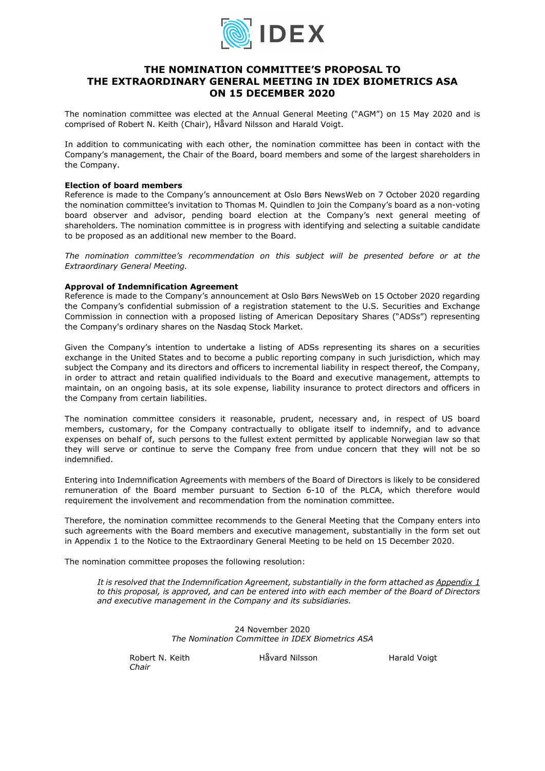

## **THE NOMINATION COMMITTEE'S PROPOSAL TO THE EXTRAORDINARY GENERAL MEETING IN IDEX BIOMETRICS ASA ON 15 DECEMBER 2020**

The nomination committee was elected at the Annual General Meeting ("AGM") on 15 May 2020 and is comprised of Robert N. Keith (Chair), Håvard Nilsson and Harald Voigt.

In addition to communicating with each other, the nomination committee has been in contact with the Company's management, the Chair of the Board, board members and some of the largest shareholders in the Company.

#### **Election of board members**

Reference is made to the Company's announcement at Oslo Børs NewsWeb on 7 October 2020 regarding the nomination committee's invitation to Thomas M. Quindlen to join the Company's board as a non-voting board observer and advisor, pending board election at the Company's next general meeting of shareholders. The nomination committee is in progress with identifying and selecting a suitable candidate to be proposed as an additional new member to the Board.

*The nomination committee's recommendation on this subject will be presented before or at the Extraordinary General Meeting.* 

#### **Approval of Indemnification Agreement**

Reference is made to the Company's announcement at Oslo Børs NewsWeb on 15 October 2020 regarding the Company's confidential submission of a registration statement to the U.S. Securities and Exchange Commission in connection with a proposed listing of American Depositary Shares ("ADSs") representing the Company's ordinary shares on the Nasdaq Stock Market.

Given the Company's intention to undertake a listing of ADSs representing its shares on a securities exchange in the United States and to become a public reporting company in such jurisdiction, which may subject the Company and its directors and officers to incremental liability in respect thereof, the Company, in order to attract and retain qualified individuals to the Board and executive management, attempts to maintain, on an ongoing basis, at its sole expense, liability insurance to protect directors and officers in the Company from certain liabilities.

The nomination committee considers it reasonable, prudent, necessary and, in respect of US board members, customary, for the Company contractually to obligate itself to indemnify, and to advance expenses on behalf of, such persons to the fullest extent permitted by applicable Norwegian law so that they will serve or continue to serve the Company free from undue concern that they will not be so indemnified.

Entering into Indemnification Agreements with members of the Board of Directors is likely to be considered remuneration of the Board member pursuant to Section 6-10 of the PLCA, which therefore would requirement the involvement and recommendation from the nomination committee.

Therefore, the nomination committee recommends to the General Meeting that the Company enters into such agreements with the Board members and executive management, substantially in the form set out in Appendix 1 to the Notice to the Extraordinary General Meeting to be held on 15 December 2020.

The nomination committee proposes the following resolution:

*It is resolved that the Indemnification Agreement, substantially in the form attached as Appendix 1 to this proposal, is approved, and can be entered into with each member of the Board of Directors and executive management in the Company and its subsidiaries.* 

> 24 November 2020 *The Nomination Committee in IDEX Biometrics ASA*

*Chair* 

Robert N. Keith **Håvard Nilsson** Harald Voigt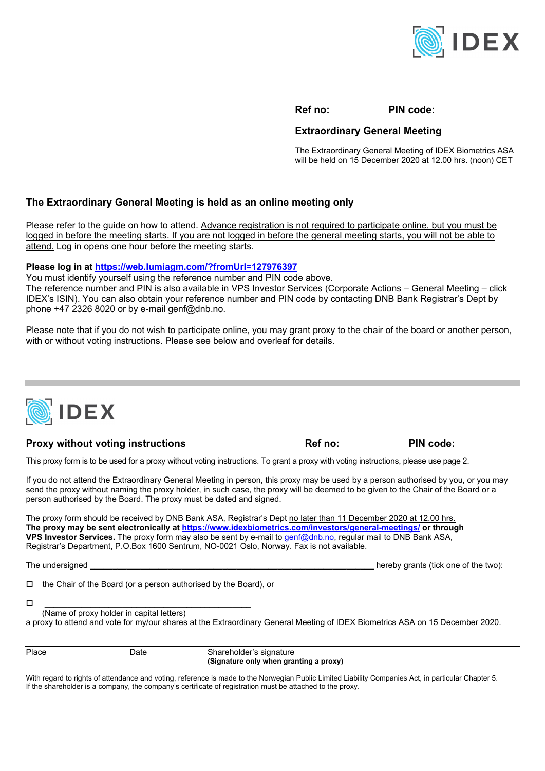

**Ref no: PIN code:** 

## **Extraordinary General Meeting**

The Extraordinary General Meeting of IDEX Biometrics ASA will be held on 15 December 2020 at 12.00 hrs. (noon) CET

## **The Extraordinary General Meeting is held as an online meeting only**

Please refer to the guide on how to attend. Advance registration is not required to participate online, but you must be logged in before the meeting starts. If you are not logged in before the general meeting starts, you will not be able to attend. Log in opens one hour before the meeting starts.

#### **Please log in at https://web.lumiagm.com/?fromUrl=127976397**

You must identify yourself using the reference number and PIN code above.

The reference number and PIN is also available in VPS Investor Services (Corporate Actions – General Meeting – click IDEX's ISIN). You can also obtain your reference number and PIN code by contacting DNB Bank Registrar's Dept by phone  $+47$  2326 8020 or by e-mail genf@dnb.no.

Please note that if you do not wish to participate online, you may grant proxy to the chair of the board or another person, with or without voting instructions. Please see below and overleaf for details.



## **Proxy without voting instructions The Ref no:** PIN code:

This proxy form is to be used for a proxy without voting instructions. To grant a proxy with voting instructions, please use page 2.

If you do not attend the Extraordinary General Meeting in person, this proxy may be used by a person authorised by you, or you may send the proxy without naming the proxy holder, in such case, the proxy will be deemed to be given to the Chair of the Board or a person authorised by the Board. The proxy must be dated and signed.

The proxy form should be received by DNB Bank ASA, Registrar's Dept no later than 11 December 2020 at 12.00 hrs. **The proxy may be sent electronically at https://www.idexbiometrics.com/investors/general-meetings/ or through VPS Investor Services.** The proxy form may also be sent by e-mail to genf@dnb.no, regular mail to DNB Bank ASA, Registrar's Department, P.O.Box 1600 Sentrum, NO-0021 Oslo, Norway. Fax is not available.

| The undersigned |
|-----------------|
|                 |

hereby grants (tick one of the two):

 $\Box$  the Chair of the Board (or a person authorised by the Board), or

| (Name of proxy holder in capital letters)                                                                                     |
|-------------------------------------------------------------------------------------------------------------------------------|
| a proxy to attend and vote for my/our shares at the Extraordinary General Meeting of IDEX Biometrics ASA on 15 December 2020. |

Place Date Date Shareholder's signature  **(Signature only when granting a proxy)** 

With regard to rights of attendance and voting, reference is made to the Norwegian Public Limited Liability Companies Act, in particular Chapter 5. If the shareholder is a company, the company's certificate of registration must be attached to the proxy.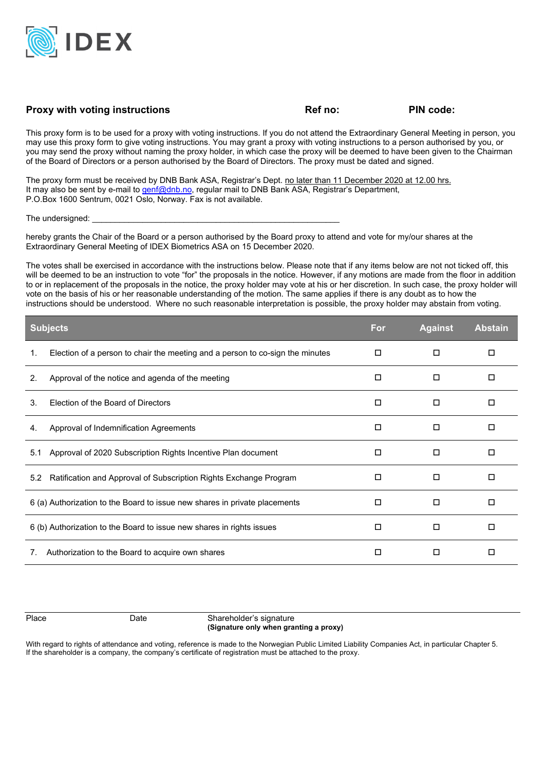

## Proxy with voting instructions **Proxy with voting instructions Ref no:** PIN code:

This proxy form is to be used for a proxy with voting instructions. If you do not attend the Extraordinary General Meeting in person, you may use this proxy form to give voting instructions. You may grant a proxy with voting instructions to a person authorised by you, or you may send the proxy without naming the proxy holder, in which case the proxy will be deemed to have been given to the Chairman of the Board of Directors or a person authorised by the Board of Directors. The proxy must be dated and signed.

The proxy form must be received by DNB Bank ASA, Registrar's Dept. no later than 11 December 2020 at 12.00 hrs. It may also be sent by e-mail to genf@dnb.no, regular mail to DNB Bank ASA, Registrar's Department, P.O.Box 1600 Sentrum, 0021 Oslo, Norway. Fax is not available.

The undersigned:

hereby grants the Chair of the Board or a person authorised by the Board proxy to attend and vote for my/our shares at the Extraordinary General Meeting of IDEX Biometrics ASA on 15 December 2020.

The votes shall be exercised in accordance with the instructions below. Please note that if any items below are not not ticked off, this will be deemed to be an instruction to vote "for" the proposals in the notice. However, if any motions are made from the floor in addition to or in replacement of the proposals in the notice, the proxy holder may vote at his or her discretion. In such case, the proxy holder will vote on the basis of his or her reasonable understanding of the motion. The same applies if there is any doubt as to how the instructions should be understood. Where no such reasonable interpretation is possible, the proxy holder may abstain from voting.

| <b>Subjects</b>                                        |                                                                               | For    | <b>Against</b> | <b>Abstain</b> |
|--------------------------------------------------------|-------------------------------------------------------------------------------|--------|----------------|----------------|
| 1.                                                     | Election of a person to chair the meeting and a person to co-sign the minutes | □      | □              | □              |
| 2.                                                     | Approval of the notice and agenda of the meeting                              | □      | □              | □              |
| 3.                                                     | Election of the Board of Directors                                            | □      | □              | □              |
| 4.                                                     | Approval of Indemnification Agreements                                        | П      | □              | □              |
| 5.1                                                    | Approval of 2020 Subscription Rights Incentive Plan document                  | $\Box$ | П              | □              |
| 5.2                                                    | Ratification and Approval of Subscription Rights Exchange Program             | □      | □              | □              |
|                                                        | 6 (a) Authorization to the Board to issue new shares in private placements    | □      | □              | ◻              |
|                                                        | 6 (b) Authorization to the Board to issue new shares in rights issues         | П      | □              | $\Box$         |
| Authorization to the Board to acquire own shares<br>7. |                                                                               | П      | □              | □              |

Place Date Date Shareholder's signature  **(Signature only when granting a proxy)** 

With regard to rights of attendance and voting, reference is made to the Norwegian Public Limited Liability Companies Act, in particular Chapter 5. If the shareholder is a company, the company's certificate of registration must be attached to the proxy.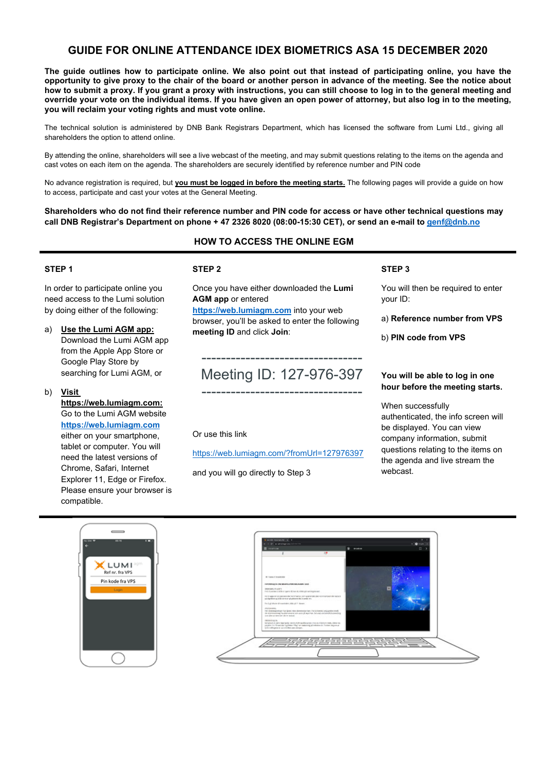## **GUIDE FOR ONLINE ATTENDANCE IDEX BIOMETRICS ASA 15 DECEMBER 2020**

**The guide outlines how to participate online. We also point out that instead of participating online, you have the opportunity to give proxy to the chair of the board or another person in advance of the meeting. See the notice about how to submit a proxy. If you grant a proxy with instructions, you can still choose to log in to the general meeting and override your vote on the individual items. If you have given an open power of attorney, but also log in to the meeting, you will reclaim your voting rights and must vote online.** 

The technical solution is administered by DNB Bank Registrars Department, which has licensed the software from Lumi Ltd., giving all shareholders the option to attend online.

By attending the online, shareholders will see a live webcast of the meeting, and may submit questions relating to the items on the agenda and cast votes on each item on the agenda. The shareholders are securely identified by reference number and PIN code

No advance registration is required, but **you must be logged in before the meeting starts.** The following pages will provide a guide on how to access, participate and cast your votes at the General Meeting.

**Shareholders who do not find their reference number and PIN code for access or have other technical questions may call DNB Registrar's Department on phone + 47 2326 8020 (08:00-15:30 CET), or send an e-mail to genf@dnb.no**

## **HOW TO ACCESS THE ONLINE EGM**

#### **STEP 1**

In order to participate online you need access to the Lumi solution by doing either of the following:

- a) **Use the Lumi AGM app:** Download the Lumi AGM app from the Apple App Store or Google Play Store by searching for Lumi AGM, or
- b) **Visit**

**https://web.lumiagm.com:** Go to the Lumi AGM website **https://web.lumiagm.com** either on your smartphone, tablet or computer. You will need the latest versions of Chrome, Safari, Internet Explorer 11, Edge or Firefox. Please ensure your browser is compatible.

#### **STEP 2**

Once you have either downloaded the **Lumi AGM app** or entered

**https://web.lumiagm.com** into your web browser, you'll be asked to enter the following **meeting ID** and click **Join**:

# --------------------------------- Meeting ID: 127-976-397 ---------------------------------

Or use this link

https://web.lumiagm.com/?fromUrl=127976397

and you will go directly to Step 3

#### **STEP 3**

You will then be required to enter your ID:

a) **Reference number from VPS** 

b) **PIN code from VPS**

#### **You will be able to log in one hour before the meeting starts.**

When successfully authenticated, the info screen will be displayed. You can view company information, submit questions relating to the items on the agenda and live stream the webcast.